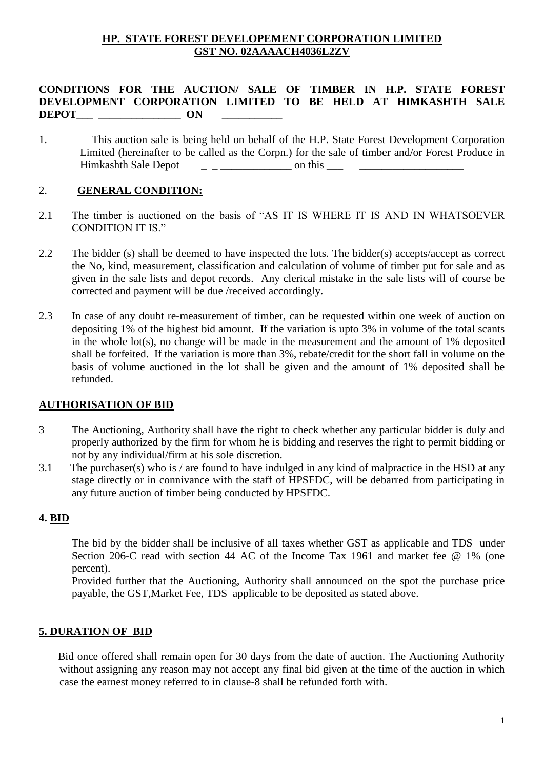### **HP. STATE FOREST DEVELOPEMENT CORPORATION LIMITED GST NO. 02AAAACH4036L2ZV**

### **CONDITIONS FOR THE AUCTION/ SALE OF TIMBER IN H.P. STATE FOREST DEVELOPMENT CORPORATION LIMITED TO BE HELD AT HIMKASHTH SALE**  DEPOT ON

1. This auction sale is being held on behalf of the H.P. State Forest Development Corporation Limited (hereinafter to be called as the Corpn.) for the sale of timber and/or Forest Produce in Himkashth Sale Depot on this quantum on this quantum of the same on this quantum of the same on this quantum of the same of the same of the same of the same of the same of the same of the same of the same of the same of th

#### 2. **GENERAL CONDITION:**

- 2.1 The timber is auctioned on the basis of "AS IT IS WHERE IT IS AND IN WHATSOEVER CONDITION IT IS."
- 2.2 The bidder (s) shall be deemed to have inspected the lots. The bidder(s) accepts/accept as correct the No, kind, measurement, classification and calculation of volume of timber put for sale and as given in the sale lists and depot records. Any clerical mistake in the sale lists will of course be corrected and payment will be due /received accordingly.
- 2.3 In case of any doubt re-measurement of timber, can be requested within one week of auction on depositing 1% of the highest bid amount. If the variation is upto 3% in volume of the total scants in the whole lot(s), no change will be made in the measurement and the amount of 1% deposited shall be forfeited. If the variation is more than 3%, rebate/credit for the short fall in volume on the basis of volume auctioned in the lot shall be given and the amount of 1% deposited shall be refunded.

### **AUTHORISATION OF BID**

- 3 The Auctioning, Authority shall have the right to check whether any particular bidder is duly and properly authorized by the firm for whom he is bidding and reserves the right to permit bidding or not by any individual/firm at his sole discretion.
- 3.1 The purchaser(s) who is / are found to have indulged in any kind of malpractice in the HSD at any stage directly or in connivance with the staff of HPSFDC, will be debarred from participating in any future auction of timber being conducted by HPSFDC.

#### **4. BID**

The bid by the bidder shall be inclusive of all taxes whether GST as applicable and TDS under Section 206-C read with section 44 AC of the Income Tax 1961 and market fee @ 1% (one percent).

Provided further that the Auctioning, Authority shall announced on the spot the purchase price payable, the GST,Market Fee, TDS applicable to be deposited as stated above.

### **5. DURATION OF BID**

 Bid once offered shall remain open for 30 days from the date of auction. The Auctioning Authority without assigning any reason may not accept any final bid given at the time of the auction in which case the earnest money referred to in clause-8 shall be refunded forth with.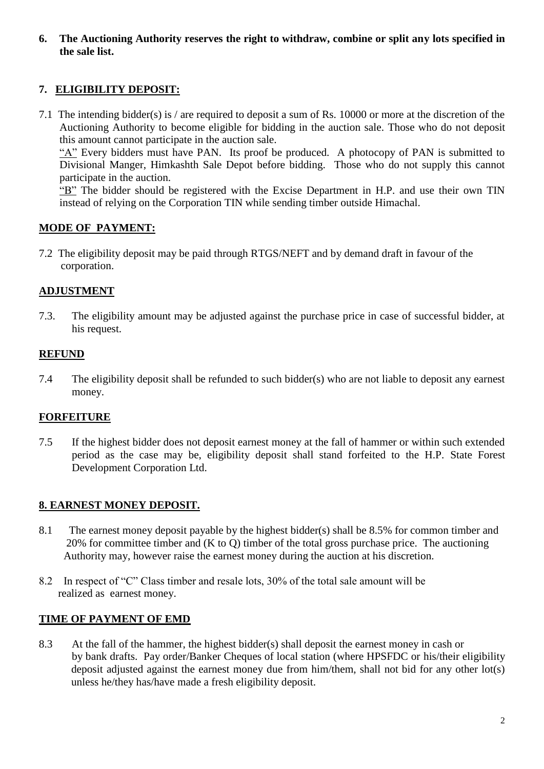**6. The Auctioning Authority reserves the right to withdraw, combine or split any lots specified in the sale list.**

# **7. ELIGIBILITY DEPOSIT:**

7.1 The intending bidder(s) is / are required to deposit a sum of Rs. 10000 or more at the discretion of the Auctioning Authority to become eligible for bidding in the auction sale. Those who do not deposit this amount cannot participate in the auction sale.

"A" Every bidders must have PAN. Its proof be produced. A photocopy of PAN is submitted to Divisional Manger, Himkashth Sale Depot before bidding. Those who do not supply this cannot participate in the auction.

"B" The bidder should be registered with the Excise Department in H.P. and use their own TIN instead of relying on the Corporation TIN while sending timber outside Himachal.

# **MODE OF PAYMENT:**

7.2 The eligibility deposit may be paid through RTGS/NEFT and by demand draft in favour of the corporation.

# **ADJUSTMENT**

7.3. The eligibility amount may be adjusted against the purchase price in case of successful bidder, at his request.

# **REFUND**

7.4 The eligibility deposit shall be refunded to such bidder(s) who are not liable to deposit any earnest money.

# **FORFEITURE**

7.5 If the highest bidder does not deposit earnest money at the fall of hammer or within such extended period as the case may be, eligibility deposit shall stand forfeited to the H.P. State Forest Development Corporation Ltd.

# **8. EARNEST MONEY DEPOSIT.**

- 8.1 The earnest money deposit payable by the highest bidder(s) shall be 8.5% for common timber and 20% for committee timber and (K to Q) timber of the total gross purchase price. The auctioning Authority may, however raise the earnest money during the auction at his discretion.
- 8.2 In respect of "C" Class timber and resale lots, 30% of the total sale amount will be realized as earnest money.

### **TIME OF PAYMENT OF EMD**

8.3 At the fall of the hammer, the highest bidder(s) shall deposit the earnest money in cash or by bank drafts. Pay order/Banker Cheques of local station (where HPSFDC or his/their eligibility deposit adjusted against the earnest money due from him/them, shall not bid for any other lot(s) unless he/they has/have made a fresh eligibility deposit.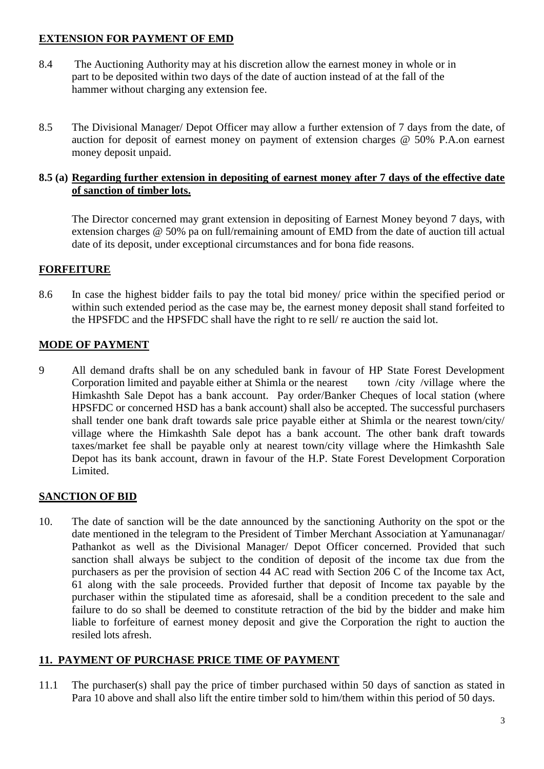## **EXTENSION FOR PAYMENT OF EMD**

- 8.4 The Auctioning Authority may at his discretion allow the earnest money in whole or in part to be deposited within two days of the date of auction instead of at the fall of the hammer without charging any extension fee.
- 8.5 The Divisional Manager/ Depot Officer may allow a further extension of 7 days from the date, of auction for deposit of earnest money on payment of extension charges @ 50% P.A.on earnest money deposit unpaid.

### **8.5 (a) Regarding further extension in depositing of earnest money after 7 days of the effective date of sanction of timber lots.**

The Director concerned may grant extension in depositing of Earnest Money beyond 7 days, with extension charges @ 50% pa on full/remaining amount of EMD from the date of auction till actual date of its deposit, under exceptional circumstances and for bona fide reasons.

## **FORFEITURE**

8.6 In case the highest bidder fails to pay the total bid money/ price within the specified period or within such extended period as the case may be, the earnest money deposit shall stand forfeited to the HPSFDC and the HPSFDC shall have the right to re sell/ re auction the said lot.

## **MODE OF PAYMENT**

9 All demand drafts shall be on any scheduled bank in favour of HP State Forest Development Corporation limited and payable either at Shimla or the nearest town /city /village where the Himkashth Sale Depot has a bank account. Pay order/Banker Cheques of local station (where HPSFDC or concerned HSD has a bank account) shall also be accepted. The successful purchasers shall tender one bank draft towards sale price payable either at Shimla or the nearest town/city/ village where the Himkashth Sale depot has a bank account. The other bank draft towards taxes/market fee shall be payable only at nearest town/city village where the Himkashth Sale Depot has its bank account, drawn in favour of the H.P. State Forest Development Corporation Limited.

# **SANCTION OF BID**

10. The date of sanction will be the date announced by the sanctioning Authority on the spot or the date mentioned in the telegram to the President of Timber Merchant Association at Yamunanagar/ Pathankot as well as the Divisional Manager/ Depot Officer concerned. Provided that such sanction shall always be subject to the condition of deposit of the income tax due from the purchasers as per the provision of section 44 AC read with Section 206 C of the Income tax Act, 61 along with the sale proceeds. Provided further that deposit of Income tax payable by the purchaser within the stipulated time as aforesaid, shall be a condition precedent to the sale and failure to do so shall be deemed to constitute retraction of the bid by the bidder and make him liable to forfeiture of earnest money deposit and give the Corporation the right to auction the resiled lots afresh.

# **11. PAYMENT OF PURCHASE PRICE TIME OF PAYMENT**

11.1 The purchaser(s) shall pay the price of timber purchased within 50 days of sanction as stated in Para 10 above and shall also lift the entire timber sold to him/them within this period of 50 days.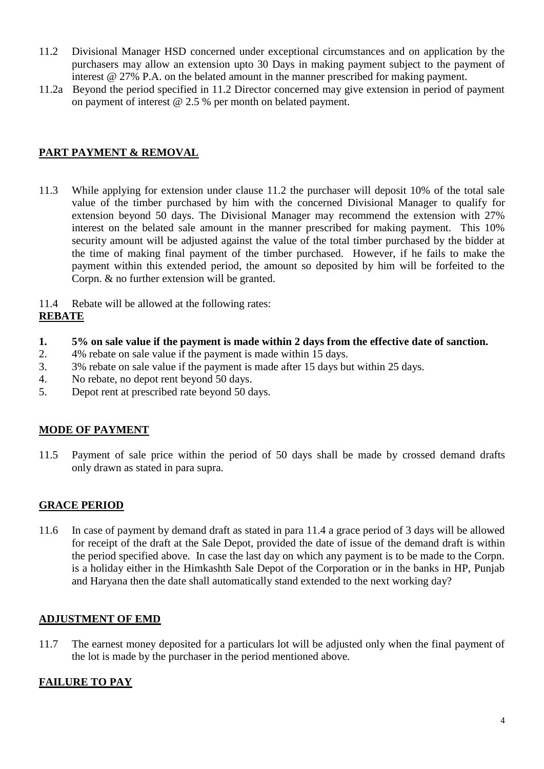- 11.2 Divisional Manager HSD concerned under exceptional circumstances and on application by the purchasers may allow an extension upto 30 Days in making payment subject to the payment of interest @ 27% P.A. on the belated amount in the manner prescribed for making payment.
- 11.2a Beyond the period specified in 11.2 Director concerned may give extension in period of payment on payment of interest @ 2.5 % per month on belated payment.

# **PART PAYMENT & REMOVAL**

- 11.3 While applying for extension under clause 11.2 the purchaser will deposit 10% of the total sale value of the timber purchased by him with the concerned Divisional Manager to qualify for extension beyond 50 days. The Divisional Manager may recommend the extension with 27% interest on the belated sale amount in the manner prescribed for making payment. This 10% security amount will be adjusted against the value of the total timber purchased by the bidder at the time of making final payment of the timber purchased. However, if he fails to make the payment within this extended period, the amount so deposited by him will be forfeited to the Corpn. & no further extension will be granted.
- 11.4 Rebate will be allowed at the following rates:

## **REBATE**

- **1. 5% on sale value if the payment is made within 2 days from the effective date of sanction.**
- 2. 4% rebate on sale value if the payment is made within 15 days.
- 3. 3% rebate on sale value if the payment is made after 15 days but within 25 days.
- 4. No rebate, no depot rent beyond 50 days.
- 5. Depot rent at prescribed rate beyond 50 days.

### **MODE OF PAYMENT**

11.5 Payment of sale price within the period of 50 days shall be made by crossed demand drafts only drawn as stated in para supra.

# **GRACE PERIOD**

11.6 In case of payment by demand draft as stated in para 11.4 a grace period of 3 days will be allowed for receipt of the draft at the Sale Depot, provided the date of issue of the demand draft is within the period specified above. In case the last day on which any payment is to be made to the Corpn. is a holiday either in the Himkashth Sale Depot of the Corporation or in the banks in HP, Punjab and Haryana then the date shall automatically stand extended to the next working day?

### **ADJUSTMENT OF EMD**

11.7 The earnest money deposited for a particulars lot will be adjusted only when the final payment of the lot is made by the purchaser in the period mentioned above.

# **FAILURE TO PAY**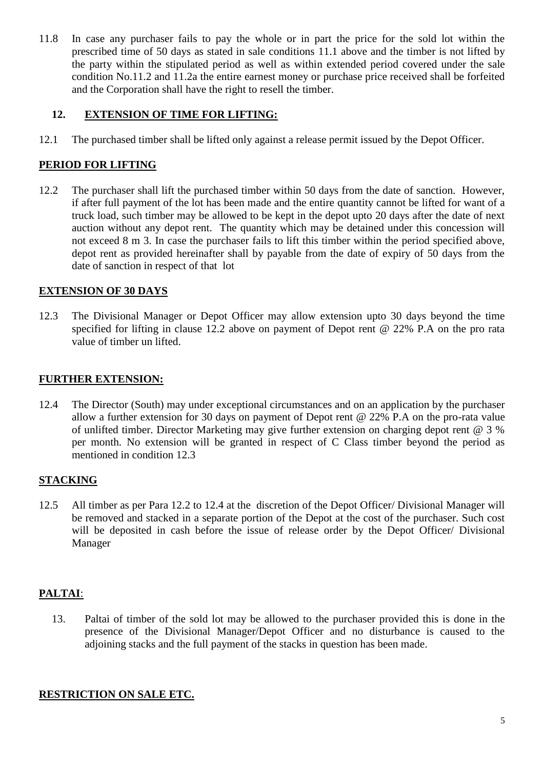11.8 In case any purchaser fails to pay the whole or in part the price for the sold lot within the prescribed time of 50 days as stated in sale conditions 11.1 above and the timber is not lifted by the party within the stipulated period as well as within extended period covered under the sale condition No.11.2 and 11.2a the entire earnest money or purchase price received shall be forfeited and the Corporation shall have the right to resell the timber.

## **12. EXTENSION OF TIME FOR LIFTING:**

12.1 The purchased timber shall be lifted only against a release permit issued by the Depot Officer.

## **PERIOD FOR LIFTING**

12.2 The purchaser shall lift the purchased timber within 50 days from the date of sanction. However, if after full payment of the lot has been made and the entire quantity cannot be lifted for want of a truck load, such timber may be allowed to be kept in the depot upto 20 days after the date of next auction without any depot rent. The quantity which may be detained under this concession will not exceed 8 m 3. In case the purchaser fails to lift this timber within the period specified above, depot rent as provided hereinafter shall by payable from the date of expiry of 50 days from the date of sanction in respect of that lot

## **EXTENSION OF 30 DAYS**

12.3 The Divisional Manager or Depot Officer may allow extension upto 30 days beyond the time specified for lifting in clause 12.2 above on payment of Depot rent @ 22% P.A on the pro rata value of timber un lifted.

### **FURTHER EXTENSION:**

12.4 The Director (South) may under exceptional circumstances and on an application by the purchaser allow a further extension for 30 days on payment of Depot rent @ 22% P.A on the pro-rata value of unlifted timber. Director Marketing may give further extension on charging depot rent @ 3 % per month. No extension will be granted in respect of C Class timber beyond the period as mentioned in condition 12.3

# **STACKING**

12.5 All timber as per Para 12.2 to 12.4 at the discretion of the Depot Officer/ Divisional Manager will be removed and stacked in a separate portion of the Depot at the cost of the purchaser. Such cost will be deposited in cash before the issue of release order by the Depot Officer/ Divisional Manager

# **PALTAI**:

13. Paltai of timber of the sold lot may be allowed to the purchaser provided this is done in the presence of the Divisional Manager/Depot Officer and no disturbance is caused to the adjoining stacks and the full payment of the stacks in question has been made.

### **RESTRICTION ON SALE ETC.**